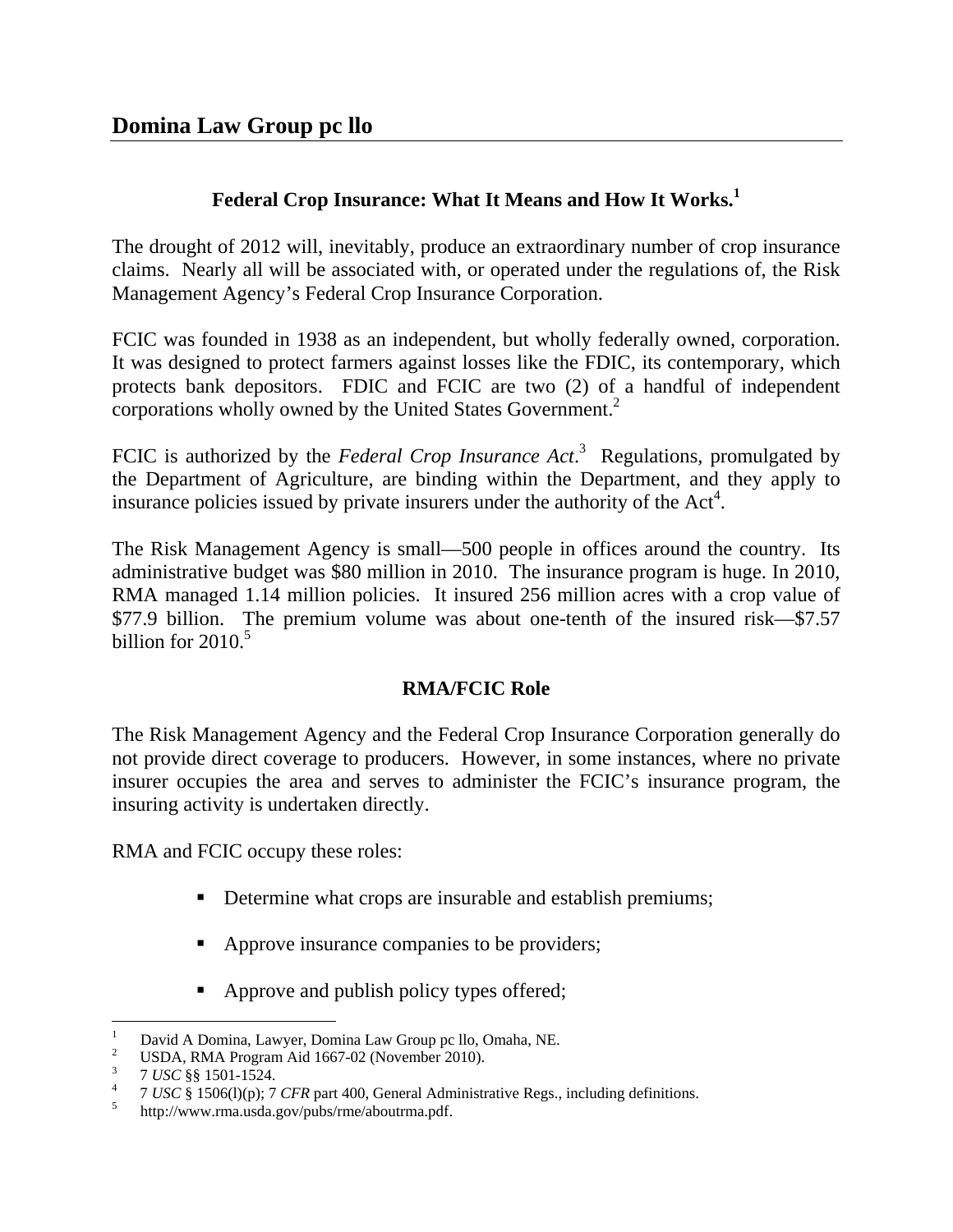# **Federal Crop Insurance: What It Means and How It Works.<sup>1</sup>**

The drought of 2012 will, inevitably, produce an extraordinary number of crop insurance claims. Nearly all will be associated with, or operated under the regulations of, the Risk Management Agency's Federal Crop Insurance Corporation.

FCIC was founded in 1938 as an independent, but wholly federally owned, corporation. It was designed to protect farmers against losses like the FDIC, its contemporary, which protects bank depositors. FDIC and FCIC are two (2) of a handful of independent corporations wholly owned by the United States Government.<sup>2</sup>

FCIC is authorized by the *Federal Crop Insurance Act*.<sup>3</sup> Regulations, promulgated by the Department of Agriculture, are binding within the Department, and they apply to insurance policies issued by private insurers under the authority of the  $Act<sup>4</sup>$ .

The Risk Management Agency is small—500 people in offices around the country. Its administrative budget was \$80 million in 2010. The insurance program is huge. In 2010, RMA managed 1.14 million policies. It insured 256 million acres with a crop value of \$77.9 billion. The premium volume was about one-tenth of the insured risk—\$7.57 billion for  $2010<sup>5</sup>$ 

# **RMA/FCIC Role**

The Risk Management Agency and the Federal Crop Insurance Corporation generally do not provide direct coverage to producers. However, in some instances, where no private insurer occupies the area and serves to administer the FCIC's insurance program, the insuring activity is undertaken directly.

RMA and FCIC occupy these roles:

- Determine what crops are insurable and establish premiums;
- Approve insurance companies to be providers;
- Approve and publish policy types offered;

 $\overline{a}$ 1 David A Domina, Lawyer, Domina Law Group pc llo, Omaha, NE.

<sup>2</sup> USDA, RMA Program Aid 1667-02 (November 2010).

<sup>3</sup> <sup>3</sup> 7 USC §§ 1501-1524.

<sup>&</sup>lt;sup>4</sup> 7 *USC* § 1506(1)(p); 7 *CFR* part 400, General Administrative Regs., including definitions.

http://www.rma.usda.gov/pubs/rme/aboutrma.pdf.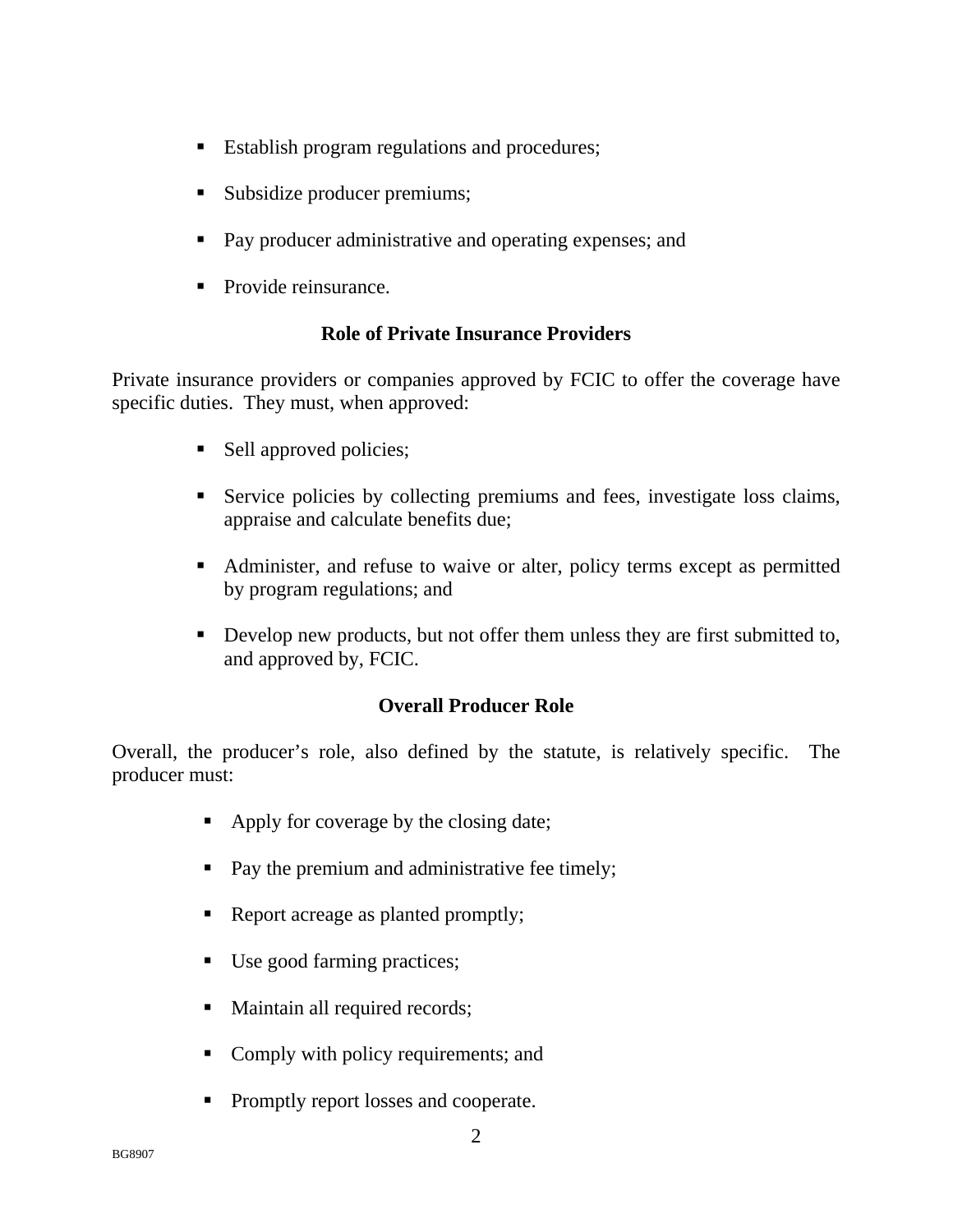- **Establish program regulations and procedures;**
- Subsidize producer premiums;
- **Pay producer administrative and operating expenses; and**
- Provide reinsurance.

## **Role of Private Insurance Providers**

Private insurance providers or companies approved by FCIC to offer the coverage have specific duties. They must, when approved:

- Sell approved policies;
- Service policies by collecting premiums and fees, investigate loss claims, appraise and calculate benefits due;
- Administer, and refuse to waive or alter, policy terms except as permitted by program regulations; and
- Develop new products, but not offer them unless they are first submitted to, and approved by, FCIC.

## **Overall Producer Role**

Overall, the producer's role, also defined by the statute, is relatively specific. The producer must:

- Apply for coverage by the closing date;
- Pay the premium and administrative fee timely;
- Report acreage as planted promptly;
- Use good farming practices;
- Maintain all required records;
- Comply with policy requirements; and
- Promptly report losses and cooperate.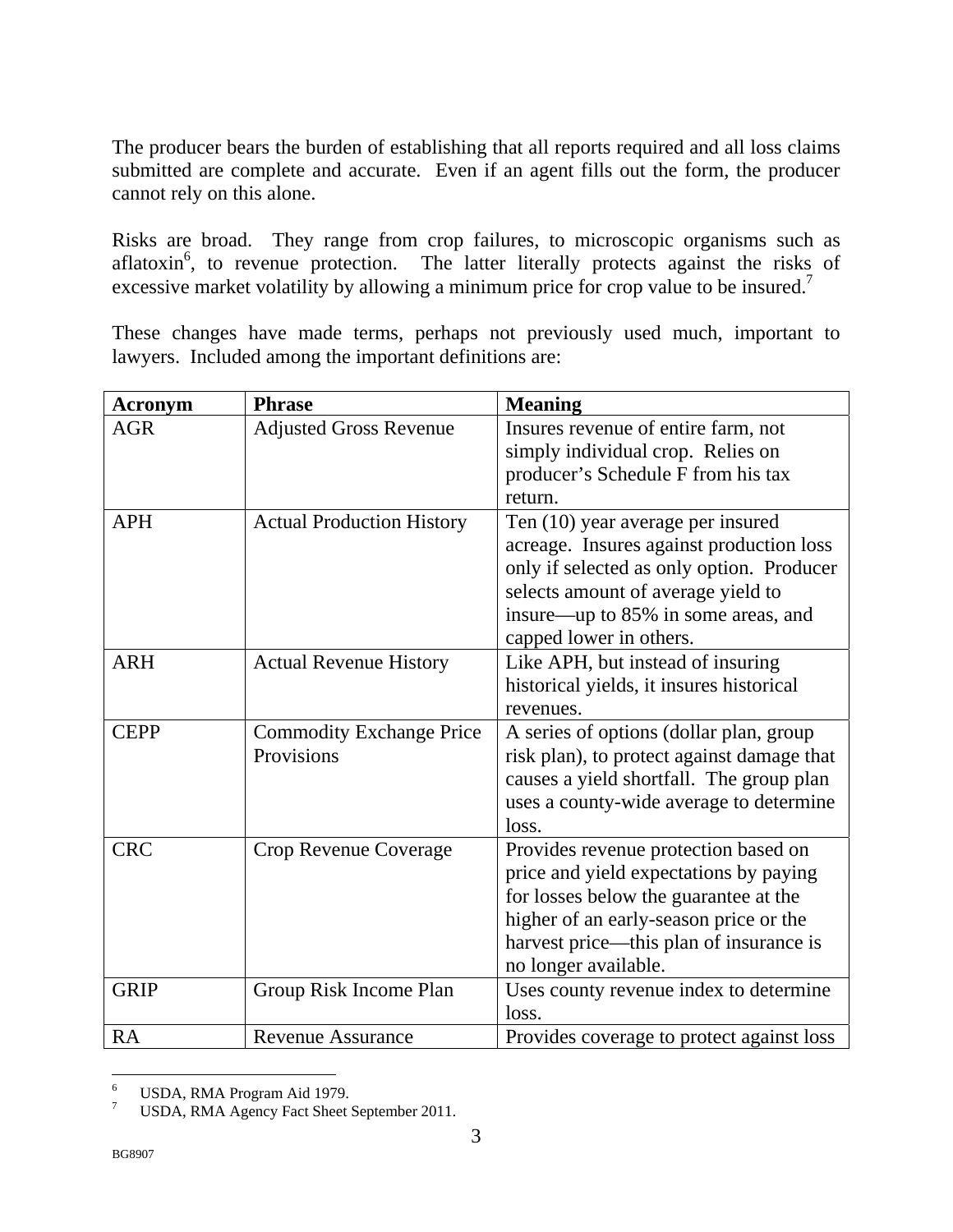The producer bears the burden of establishing that all reports required and all loss claims submitted are complete and accurate. Even if an agent fills out the form, the producer cannot rely on this alone.

Risks are broad. They range from crop failures, to microscopic organisms such as aflatoxin<sup>6</sup>, to revenue protection. The latter literally protects against the risks of excessive market volatility by allowing a minimum price for crop value to be insured.<sup>7</sup>

These changes have made terms, perhaps not previously used much, important to lawyers. Included among the important definitions are:

| <b>Acronym</b> | <b>Phrase</b>                    | <b>Meaning</b>                             |
|----------------|----------------------------------|--------------------------------------------|
| <b>AGR</b>     | <b>Adjusted Gross Revenue</b>    | Insures revenue of entire farm, not        |
|                |                                  | simply individual crop. Relies on          |
|                |                                  | producer's Schedule F from his tax         |
|                |                                  | return.                                    |
| <b>APH</b>     | <b>Actual Production History</b> | Ten (10) year average per insured          |
|                |                                  | acreage. Insures against production loss   |
|                |                                  | only if selected as only option. Producer  |
|                |                                  | selects amount of average yield to         |
|                |                                  | insure—up to 85% in some areas, and        |
|                |                                  | capped lower in others.                    |
| <b>ARH</b>     | <b>Actual Revenue History</b>    | Like APH, but instead of insuring          |
|                |                                  | historical yields, it insures historical   |
|                |                                  | revenues.                                  |
| <b>CEPP</b>    | <b>Commodity Exchange Price</b>  | A series of options (dollar plan, group    |
|                | Provisions                       | risk plan), to protect against damage that |
|                |                                  | causes a yield shortfall. The group plan   |
|                |                                  | uses a county-wide average to determine    |
|                |                                  | loss.                                      |
| <b>CRC</b>     | Crop Revenue Coverage            | Provides revenue protection based on       |
|                |                                  | price and yield expectations by paying     |
|                |                                  | for losses below the guarantee at the      |
|                |                                  | higher of an early-season price or the     |
|                |                                  | harvest price—this plan of insurance is    |
|                |                                  | no longer available.                       |
| <b>GRIP</b>    | Group Risk Income Plan           | Uses county revenue index to determine     |
|                |                                  | loss.                                      |
| <b>RA</b>      | <b>Revenue Assurance</b>         | Provides coverage to protect against loss  |

 $\frac{1}{6}$ USDA, RMA Program Aid 1979.

<sup>7</sup> USDA, RMA Agency Fact Sheet September 2011.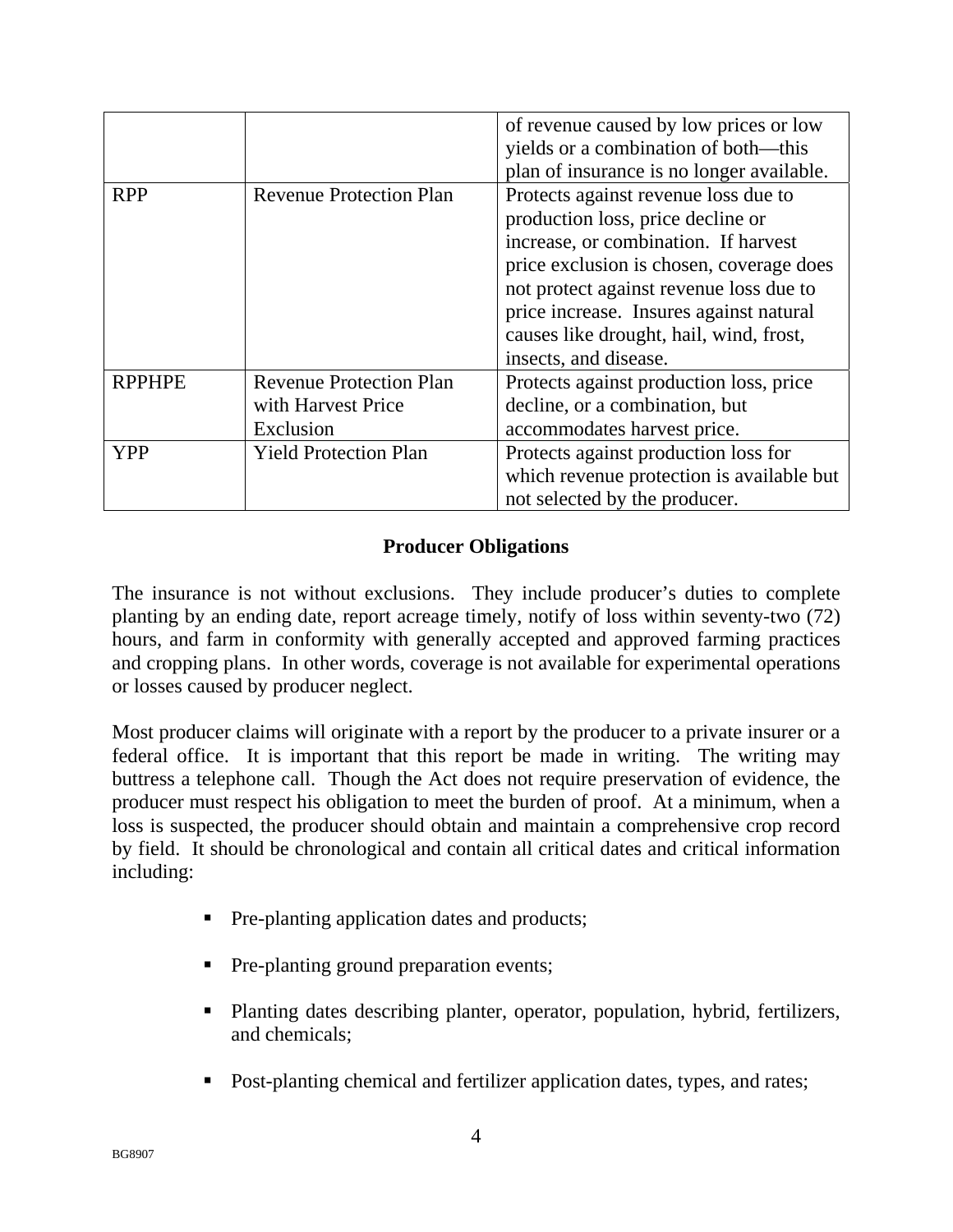|               |                                | of revenue caused by low prices or low<br>yields or a combination of both—this                                                                                                                                                                                                                                          |
|---------------|--------------------------------|-------------------------------------------------------------------------------------------------------------------------------------------------------------------------------------------------------------------------------------------------------------------------------------------------------------------------|
|               |                                | plan of insurance is no longer available.                                                                                                                                                                                                                                                                               |
| <b>RPP</b>    | <b>Revenue Protection Plan</b> | Protects against revenue loss due to<br>production loss, price decline or<br>increase, or combination. If harvest<br>price exclusion is chosen, coverage does<br>not protect against revenue loss due to<br>price increase. Insures against natural<br>causes like drought, hail, wind, frost,<br>insects, and disease. |
| <b>RPPHPE</b> | <b>Revenue Protection Plan</b> | Protects against production loss, price                                                                                                                                                                                                                                                                                 |
|               | with Harvest Price             | decline, or a combination, but                                                                                                                                                                                                                                                                                          |
|               | Exclusion                      | accommodates harvest price.                                                                                                                                                                                                                                                                                             |
| <b>YPP</b>    | <b>Yield Protection Plan</b>   | Protects against production loss for                                                                                                                                                                                                                                                                                    |
|               |                                | which revenue protection is available but                                                                                                                                                                                                                                                                               |
|               |                                | not selected by the producer.                                                                                                                                                                                                                                                                                           |

## **Producer Obligations**

The insurance is not without exclusions. They include producer's duties to complete planting by an ending date, report acreage timely, notify of loss within seventy-two (72) hours, and farm in conformity with generally accepted and approved farming practices and cropping plans. In other words, coverage is not available for experimental operations or losses caused by producer neglect.

Most producer claims will originate with a report by the producer to a private insurer or a federal office. It is important that this report be made in writing. The writing may buttress a telephone call. Though the Act does not require preservation of evidence, the producer must respect his obligation to meet the burden of proof. At a minimum, when a loss is suspected, the producer should obtain and maintain a comprehensive crop record by field. It should be chronological and contain all critical dates and critical information including:

- Pre-planting application dates and products;
- Pre-planting ground preparation events;
- Planting dates describing planter, operator, population, hybrid, fertilizers, and chemicals;
- Post-planting chemical and fertilizer application dates, types, and rates;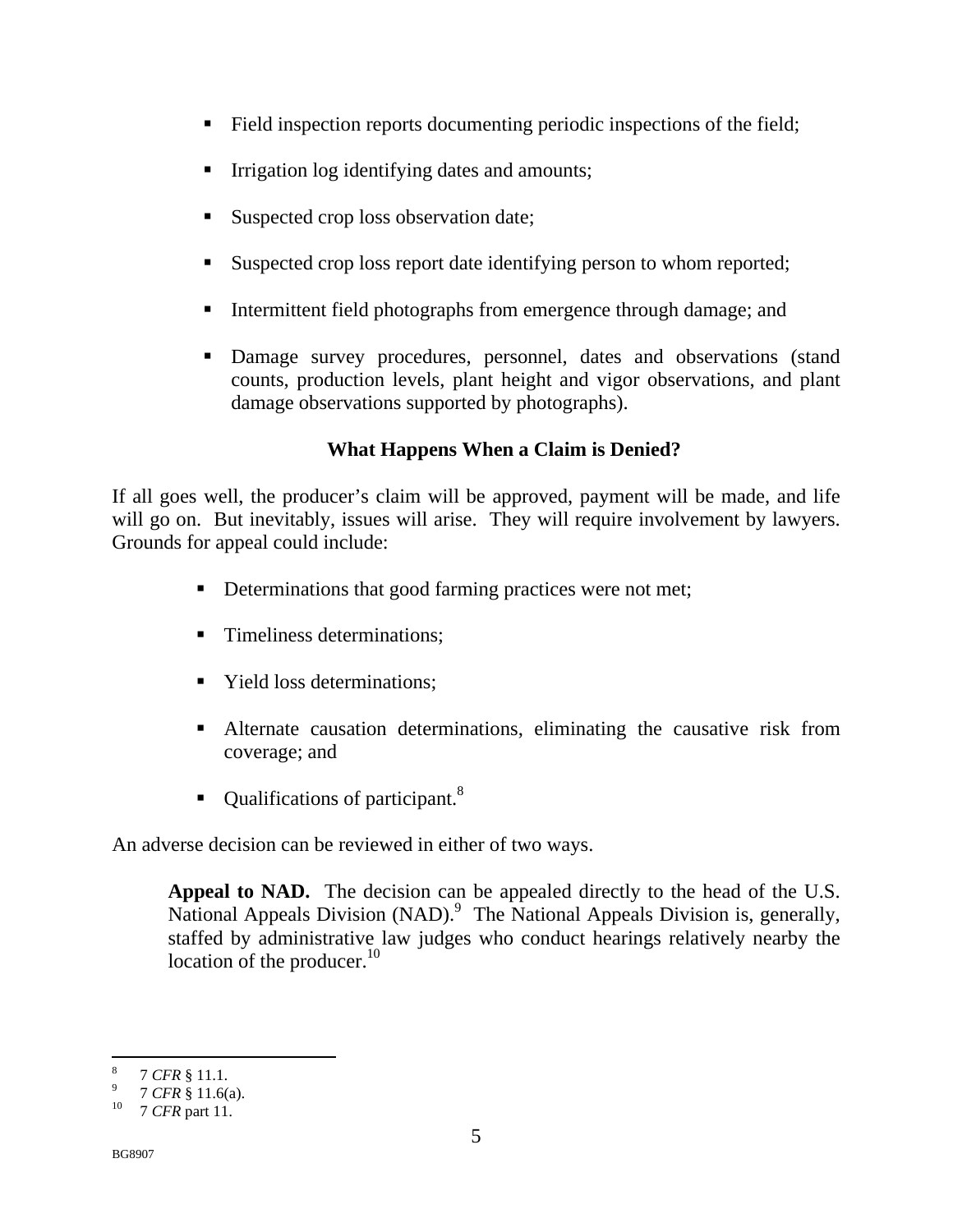- Field inspection reports documenting periodic inspections of the field;
- **Irrigation log identifying dates and amounts;**
- Suspected crop loss observation date;
- Suspected crop loss report date identifying person to whom reported;
- Intermittent field photographs from emergence through damage; and
- Damage survey procedures, personnel, dates and observations (stand counts, production levels, plant height and vigor observations, and plant damage observations supported by photographs).

# **What Happens When a Claim is Denied?**

If all goes well, the producer's claim will be approved, payment will be made, and life will go on. But inevitably, issues will arise. They will require involvement by lawyers. Grounds for appeal could include:

- Determinations that good farming practices were not met;
- **Timeliness determinations:**
- Yield loss determinations:
- Alternate causation determinations, eliminating the causative risk from coverage; and
- $\blacksquare$  Qualifications of participant.<sup>8</sup>

An adverse decision can be reviewed in either of two ways.

**Appeal to NAD.** The decision can be appealed directly to the head of the U.S. National Appeals Division (NAD).<sup>9</sup> The National Appeals Division is, generally, staffed by administrative law judges who conduct hearings relatively nearby the location of the producer. $10$ 

 $\overline{a}$ 8 *7 CFR* § 11.1.<br>*7 CFR* § 11.6(a).

<sup>&</sup>lt;sup>10</sup> 7 *CFR* part 11.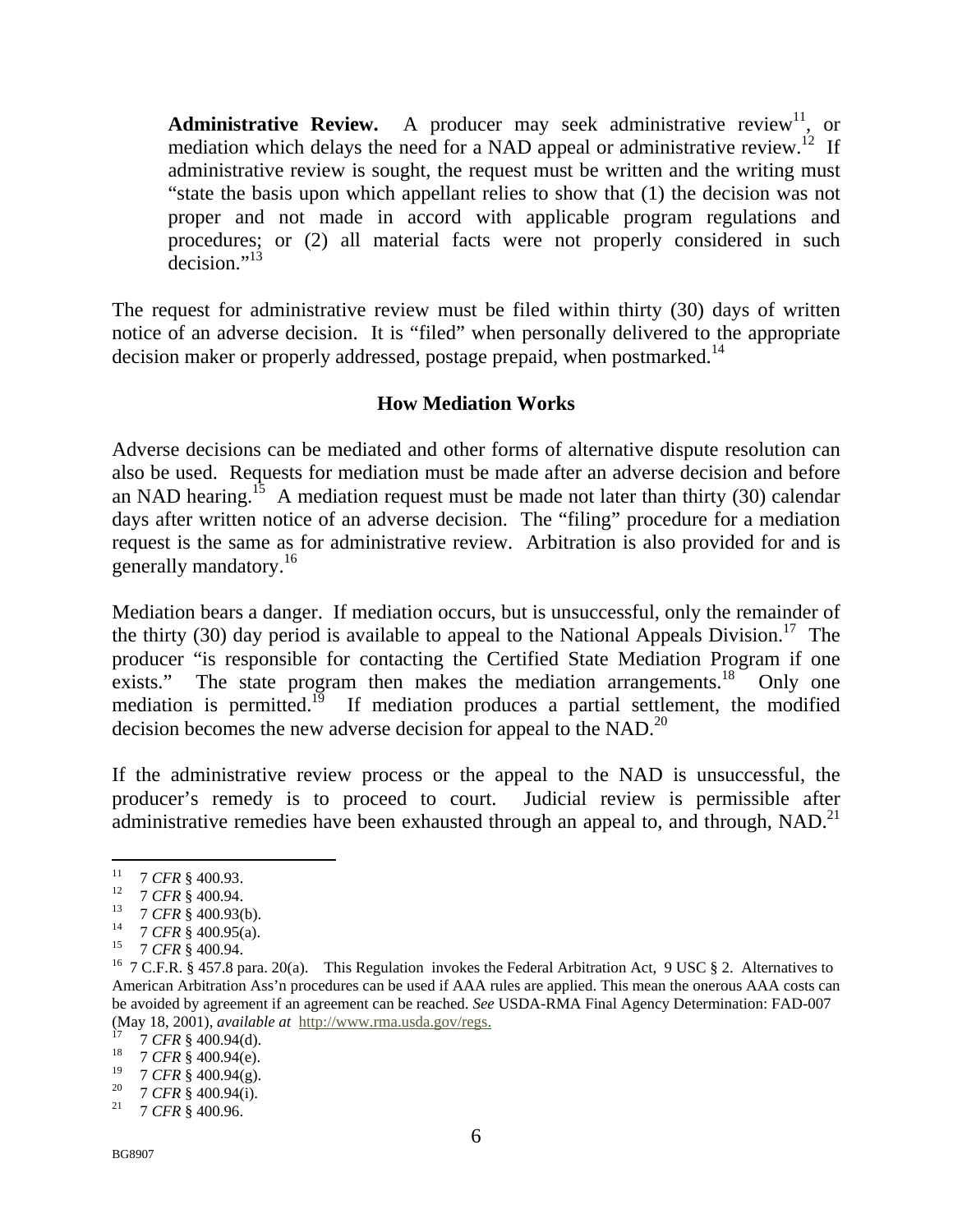**Administrative Review.** A producer may seek administrative review<sup>11</sup>, or mediation which delays the need for a NAD appeal or administrative review.<sup>12</sup> If administrative review is sought, the request must be written and the writing must "state the basis upon which appellant relies to show that (1) the decision was not proper and not made in accord with applicable program regulations and procedures; or (2) all material facts were not properly considered in such decision."<sup>13</sup>

The request for administrative review must be filed within thirty (30) days of written notice of an adverse decision. It is "filed" when personally delivered to the appropriate decision maker or properly addressed, postage prepaid, when postmarked.<sup>14</sup>

#### **How Mediation Works**

Adverse decisions can be mediated and other forms of alternative dispute resolution can also be used. Requests for mediation must be made after an adverse decision and before an NAD hearing.<sup>15</sup> A mediation request must be made not later than thirty (30) calendar days after written notice of an adverse decision. The "filing" procedure for a mediation request is the same as for administrative review. Arbitration is also provided for and is generally mandatory.<sup>16</sup>

Mediation bears a danger. If mediation occurs, but is unsuccessful, only the remainder of the thirty (30) day period is available to appeal to the National Appeals Division.<sup>17</sup> The producer "is responsible for contacting the Certified State Mediation Program if one exists." The state program then makes the mediation arrangements.<sup>18</sup> Only one mediation is permitted.<sup>19</sup> If mediation produces a partial settlement, the modified decision becomes the new adverse decision for appeal to the NAD.20

If the administrative review process or the appeal to the NAD is unsuccessful, the producer's remedy is to proceed to court. Judicial review is permissible after administrative remedies have been exhausted through an appeal to, and through,  $NAD.<sup>21</sup>$ 

 $11$ 

<sup>&</sup>lt;sup>11</sup> 7 CFR § 400.93.<br>
<sup>12</sup> 7 CFR § 400.94.<br>
<sup>13</sup> 7 CFR § 400.93(b).<br>
<sup>14</sup> 7 CFR § 400.95(a).<br>
<sup>15</sup> 7 CFR § 400.94.<br>
<sup>16</sup> 7 C.F.R. § 457.8 para. 20(a). This Regulation invokes the Federal Arbitration Act, 9 USC § 2. Altern American Arbitration Ass'n procedures can be used if AAA rules are applied. This mean the onerous AAA costs can be avoided by agreement if an agreement can be reached. *See* USDA-RMA Final Agency Determination: FAD-007 (May 18, 2001), *available at* http://www.rma.usda.gov/regs. 17 7 *CFR* § 400.94(d). 18 7 *CFR* § 400.94(e).

<sup>19 7</sup> *CFR* § 400.94(g). 20 7 *CFR* § 400.94(i). 21 7 *CFR* § 400.96.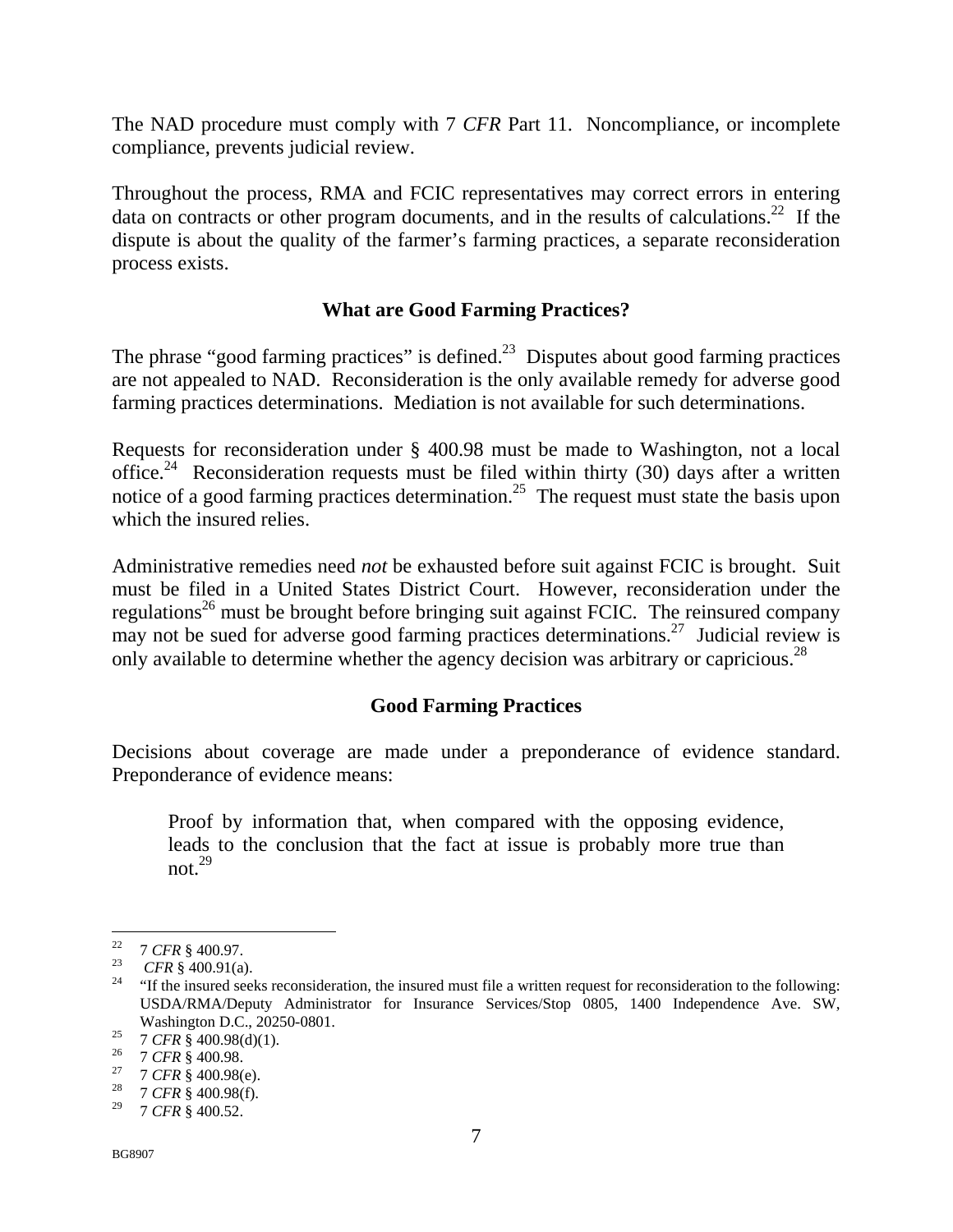The NAD procedure must comply with 7 *CFR* Part 11. Noncompliance, or incomplete compliance, prevents judicial review.

Throughout the process, RMA and FCIC representatives may correct errors in entering data on contracts or other program documents, and in the results of calculations.<sup>22</sup> If the dispute is about the quality of the farmer's farming practices, a separate reconsideration process exists.

## **What are Good Farming Practices?**

The phrase "good farming practices" is defined.<sup>23</sup> Disputes about good farming practices are not appealed to NAD. Reconsideration is the only available remedy for adverse good farming practices determinations. Mediation is not available for such determinations.

Requests for reconsideration under § 400.98 must be made to Washington, not a local office.<sup>24</sup> Reconsideration requests must be filed within thirty (30) days after a written notice of a good farming practices determination.<sup>25</sup> The request must state the basis upon which the insured relies.

Administrative remedies need *not* be exhausted before suit against FCIC is brought. Suit must be filed in a United States District Court. However, reconsideration under the regulations<sup>26</sup> must be brought before bringing suit against FCIC. The reinsured company may not be sued for adverse good farming practices determinations.<sup>27</sup> Judicial review is only available to determine whether the agency decision was arbitrary or capricious.<sup>28</sup>

## **Good Farming Practices**

Decisions about coverage are made under a preponderance of evidence standard. Preponderance of evidence means:

Proof by information that, when compared with the opposing evidence, leads to the conclusion that the fact at issue is probably more true than not. $^{29}$ 

<sup>&</sup>lt;sup>22</sup> 7 *CFR* § 400.97.<br><sup>23</sup> *CFR* § 400.91(a).<br><sup>24</sup> "If the insured seeks reconsideration, the insured must file a written request for reconsideration to the following: USDA/RMA/Deputy Administrator for Insurance Services/Stop 0805, 1400 Independence Ave. SW, Washington D.C., 20250-0801.<br>
<sup>25</sup> 7 *CFR* § 400.98(d)(1).<br>
<sup>26</sup> 7 *CFR* § 400.98.<br>
<sup>27</sup> 7 *CFR* § 400.98(f).<br>
<sup>28</sup> 7 *CFR* § 400.98(f).<br>
<sup>29</sup> 7 *CFB* § 400.52

<sup>29 7</sup> *CFR* § 400.52.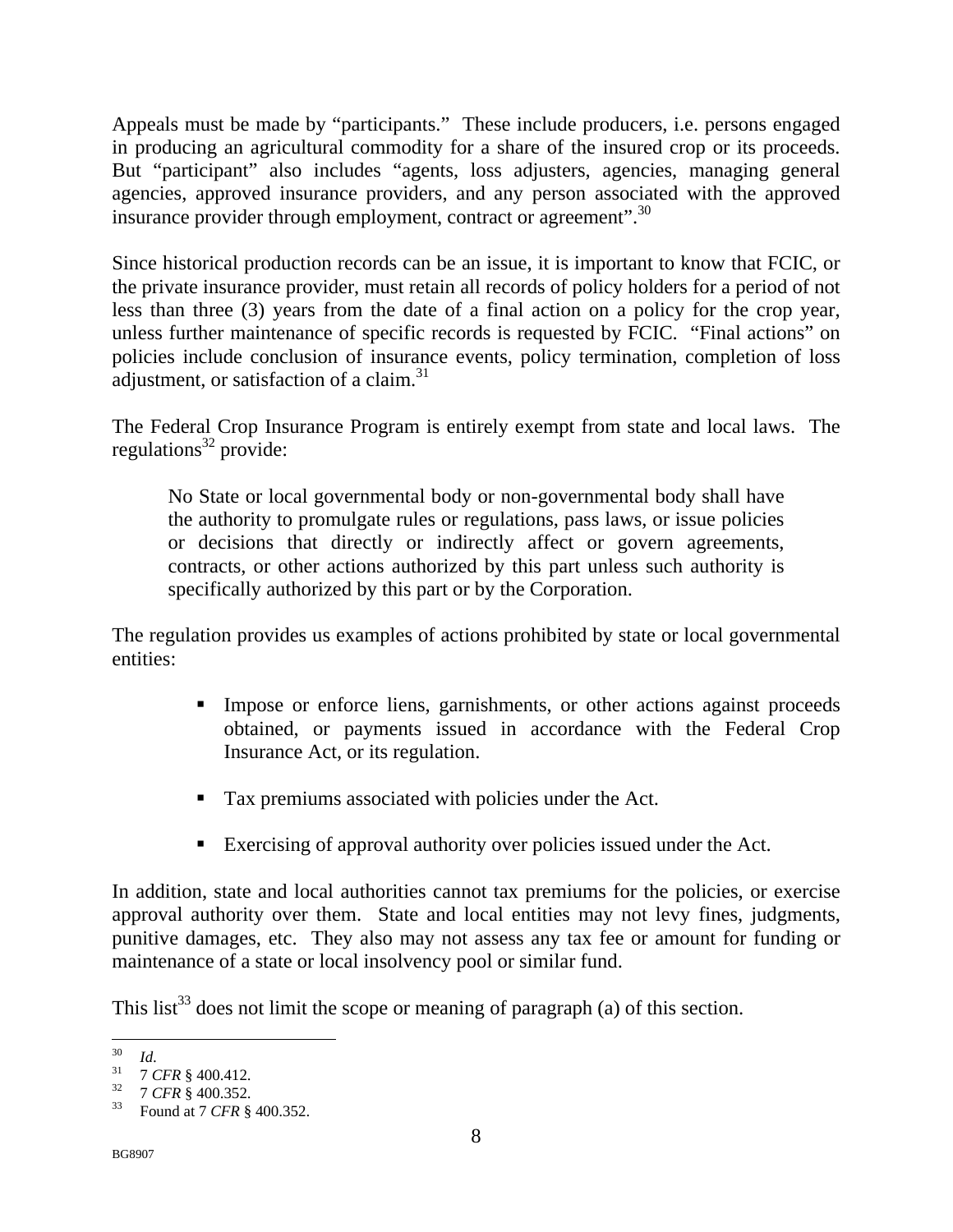Appeals must be made by "participants." These include producers, i.e. persons engaged in producing an agricultural commodity for a share of the insured crop or its proceeds. But "participant" also includes "agents, loss adjusters, agencies, managing general agencies, approved insurance providers, and any person associated with the approved insurance provider through employment, contract or agreement".<sup>30</sup>

Since historical production records can be an issue, it is important to know that FCIC, or the private insurance provider, must retain all records of policy holders for a period of not less than three (3) years from the date of a final action on a policy for the crop year, unless further maintenance of specific records is requested by FCIC. "Final actions" on policies include conclusion of insurance events, policy termination, completion of loss adjustment, or satisfaction of a claim. $31$ 

The Federal Crop Insurance Program is entirely exempt from state and local laws. The regulations $32$  provide:

No State or local governmental body or non-governmental body shall have the authority to promulgate rules or regulations, pass laws, or issue policies or decisions that directly or indirectly affect or govern agreements, contracts, or other actions authorized by this part unless such authority is specifically authorized by this part or by the Corporation.

The regulation provides us examples of actions prohibited by state or local governmental entities:

- Impose or enforce liens, garnishments, or other actions against proceeds obtained, or payments issued in accordance with the Federal Crop Insurance Act, or its regulation.
- **Tax premiums associated with policies under the Act.**
- Exercising of approval authority over policies issued under the Act.

In addition, state and local authorities cannot tax premiums for the policies, or exercise approval authority over them. State and local entities may not levy fines, judgments, punitive damages, etc. They also may not assess any tax fee or amount for funding or maintenance of a state or local insolvency pool or similar fund.

This list<sup>33</sup> does not limit the scope or meaning of paragraph (a) of this section.

 $30<sup>°</sup>$ 

<sup>30&</sup>lt;br>
31 7 *CFR* § 400.412.<br>
32 7 *CFR* § 400.352.<br>
33 Found at 7 *CFR* § 400.352.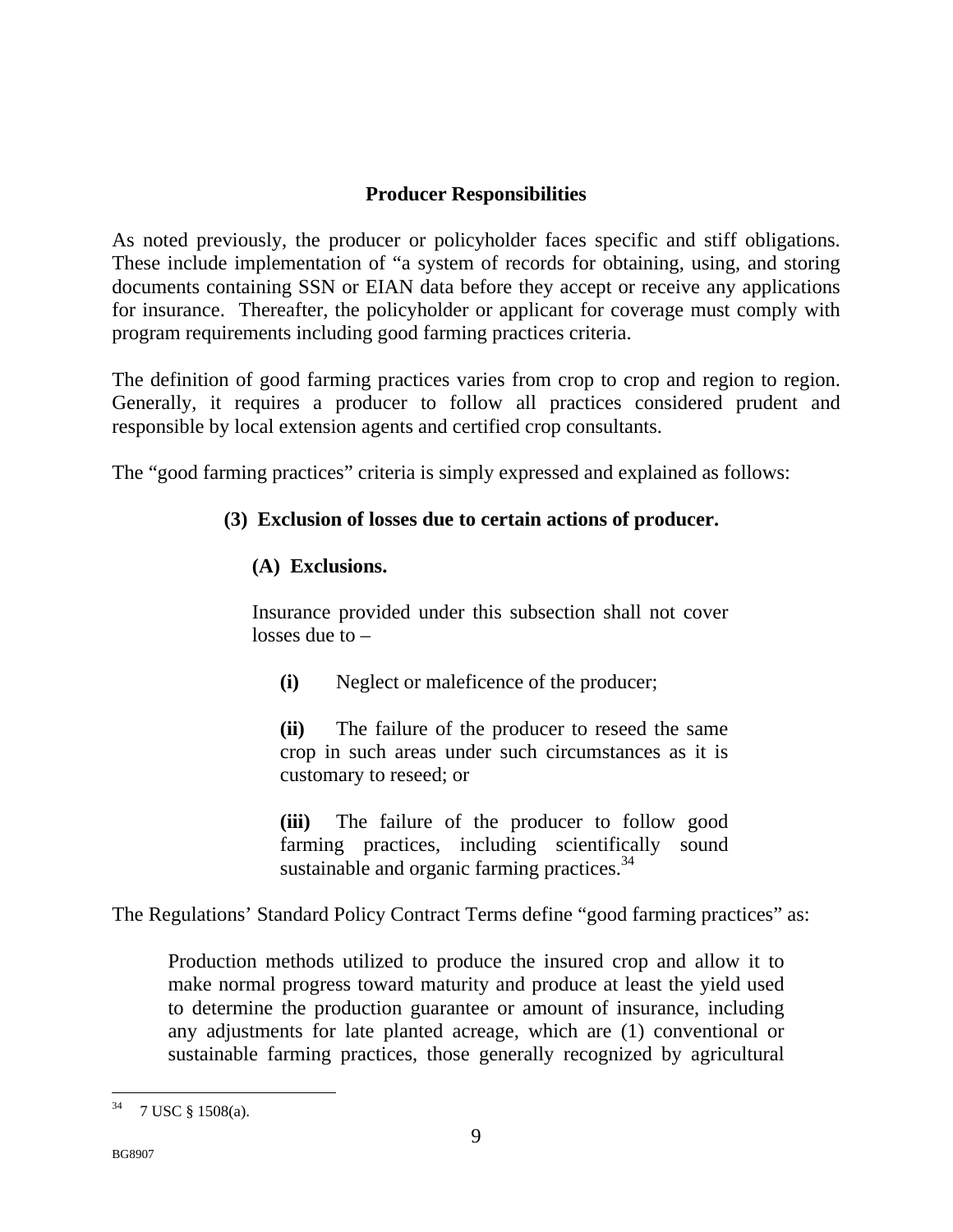## **Producer Responsibilities**

As noted previously, the producer or policyholder faces specific and stiff obligations. These include implementation of "a system of records for obtaining, using, and storing documents containing SSN or EIAN data before they accept or receive any applications for insurance. Thereafter, the policyholder or applicant for coverage must comply with program requirements including good farming practices criteria.

The definition of good farming practices varies from crop to crop and region to region. Generally, it requires a producer to follow all practices considered prudent and responsible by local extension agents and certified crop consultants.

The "good farming practices" criteria is simply expressed and explained as follows:

## **(3) Exclusion of losses due to certain actions of producer.**

## **(A) Exclusions.**

Insurance provided under this subsection shall not cover losses due to –

**(i)** Neglect or maleficence of the producer;

**(ii)** The failure of the producer to reseed the same crop in such areas under such circumstances as it is customary to reseed; or

**(iii)** The failure of the producer to follow good farming practices, including scientifically sound sustainable and organic farming practices.<sup>34</sup>

The Regulations' Standard Policy Contract Terms define "good farming practices" as:

Production methods utilized to produce the insured crop and allow it to make normal progress toward maturity and produce at least the yield used to determine the production guarantee or amount of insurance, including any adjustments for late planted acreage, which are (1) conventional or sustainable farming practices, those generally recognized by agricultural

  $34$  7 USC § 1508(a).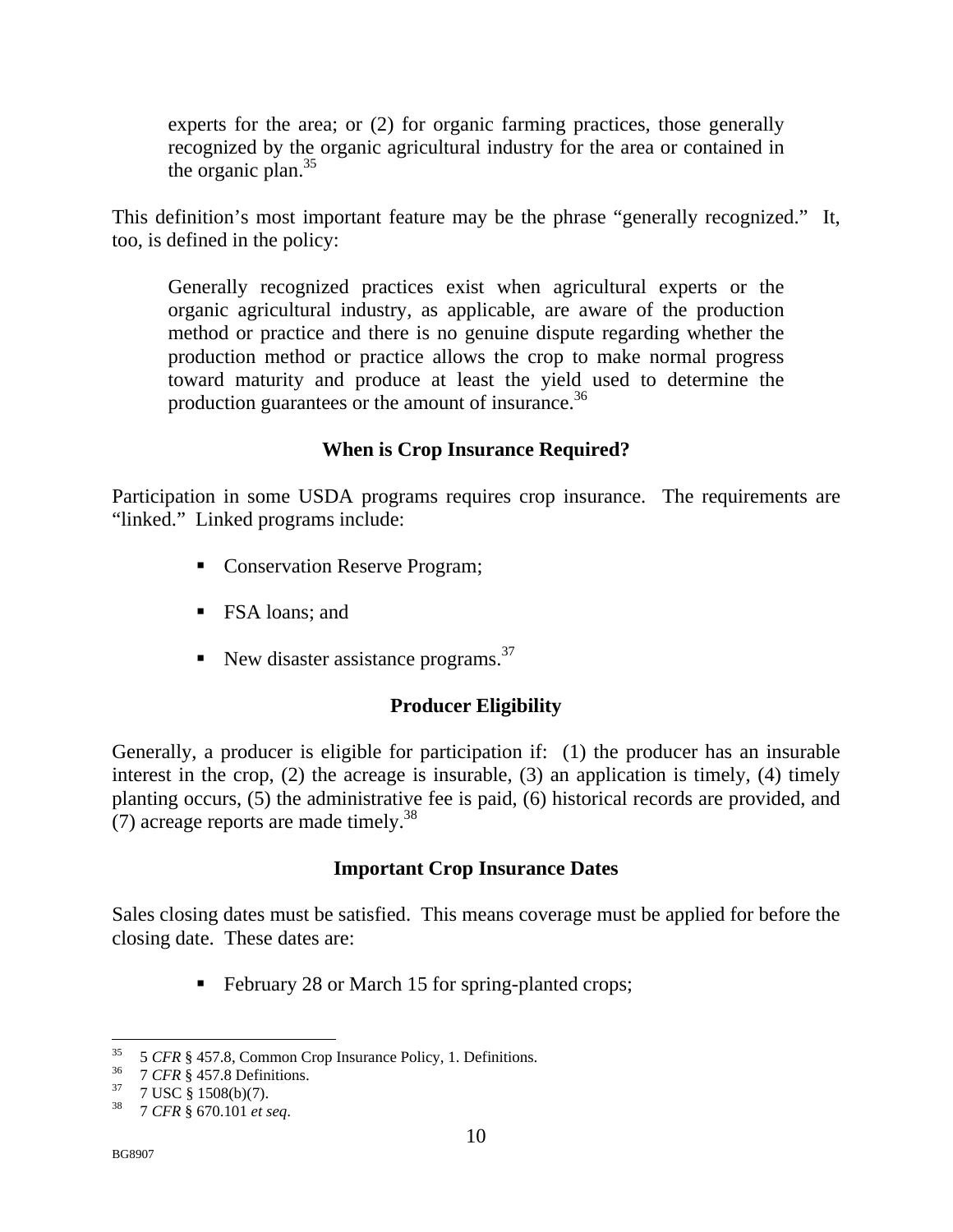experts for the area; or (2) for organic farming practices, those generally recognized by the organic agricultural industry for the area or contained in the organic plan. $35$ 

This definition's most important feature may be the phrase "generally recognized." It, too, is defined in the policy:

Generally recognized practices exist when agricultural experts or the organic agricultural industry, as applicable, are aware of the production method or practice and there is no genuine dispute regarding whether the production method or practice allows the crop to make normal progress toward maturity and produce at least the yield used to determine the production guarantees or the amount of insurance.<sup>36</sup>

## **When is Crop Insurance Required?**

Participation in some USDA programs requires crop insurance. The requirements are "linked." Linked programs include:

- Conservation Reserve Program;
- FSA loans; and
- New disaster assistance programs.<sup>37</sup>

## **Producer Eligibility**

Generally, a producer is eligible for participation if: (1) the producer has an insurable interest in the crop, (2) the acreage is insurable, (3) an application is timely, (4) timely planting occurs, (5) the administrative fee is paid, (6) historical records are provided, and (7) acreage reports are made timely.<sup>38</sup>

#### **Important Crop Insurance Dates**

Sales closing dates must be satisfied. This means coverage must be applied for before the closing date. These dates are:

February 28 or March 15 for spring-planted crops;

<sup>&</sup>lt;sup>35</sup> 5 *CFR* § 457.8, Common Crop Insurance Policy, 1. Definitions.<br><sup>36</sup> 7 *CFR* § 457.8 Definitions.<br><sup>37</sup> 7 USC § 1508(b)(7).<br><sup>38</sup> 7 *CFB* 8 670 101 at see

<sup>38 7</sup> *CFR* § 670.101 *et seq*.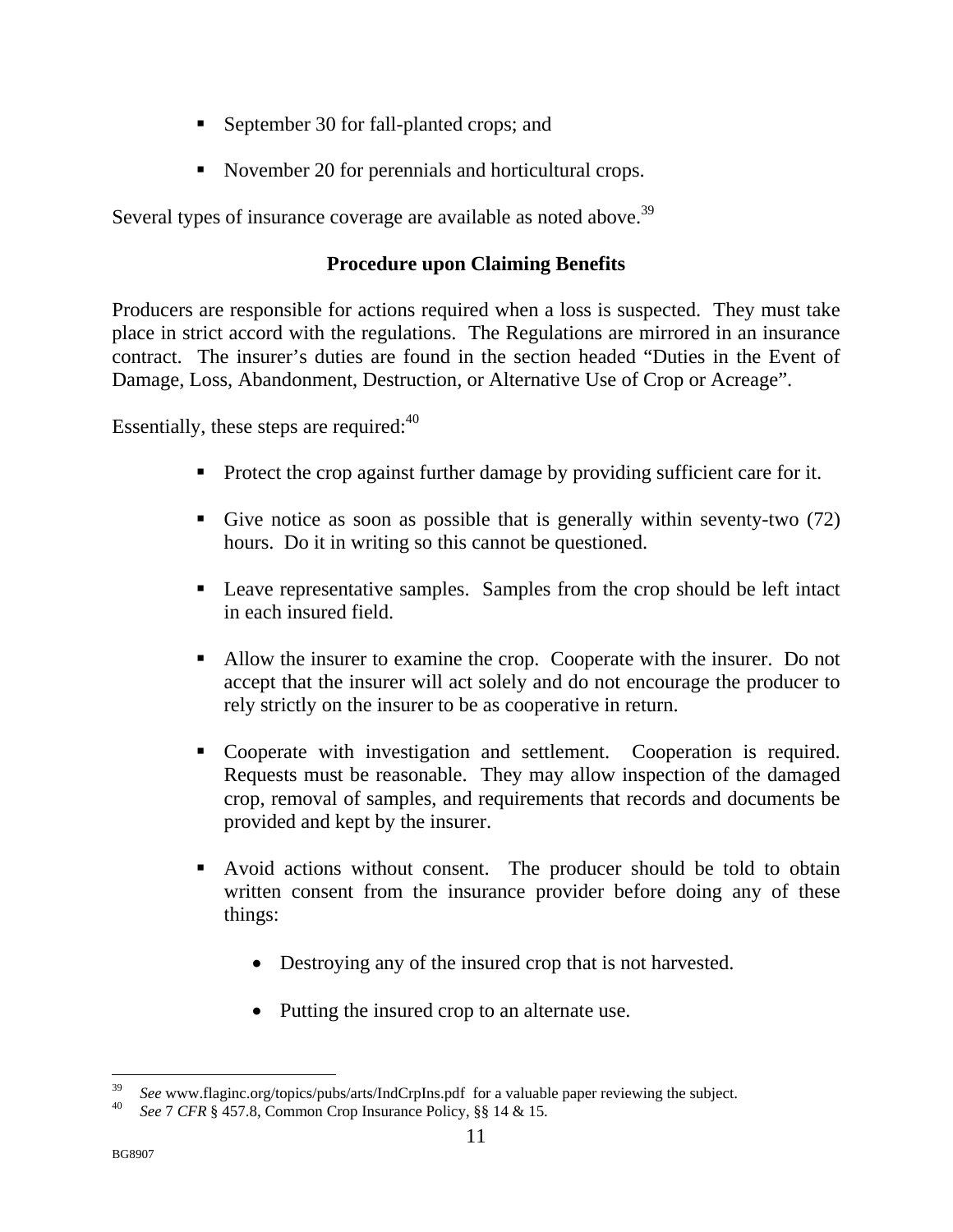- September 30 for fall-planted crops; and
- November 20 for perennials and horticultural crops.

Several types of insurance coverage are available as noted above.<sup>39</sup>

## **Procedure upon Claiming Benefits**

Producers are responsible for actions required when a loss is suspected. They must take place in strict accord with the regulations. The Regulations are mirrored in an insurance contract. The insurer's duties are found in the section headed "Duties in the Event of Damage, Loss, Abandonment, Destruction, or Alternative Use of Crop or Acreage".

Essentially, these steps are required: $40^\circ$ 

- Protect the crop against further damage by providing sufficient care for it.
- Give notice as soon as possible that is generally within seventy-two (72) hours. Do it in writing so this cannot be questioned.
- Leave representative samples. Samples from the crop should be left intact in each insured field.
- Allow the insurer to examine the crop. Cooperate with the insurer. Do not accept that the insurer will act solely and do not encourage the producer to rely strictly on the insurer to be as cooperative in return.
- Cooperate with investigation and settlement. Cooperation is required. Requests must be reasonable. They may allow inspection of the damaged crop, removal of samples, and requirements that records and documents be provided and kept by the insurer.
- Avoid actions without consent. The producer should be told to obtain written consent from the insurance provider before doing any of these things:
	- Destroying any of the insured crop that is not harvested.
	- Putting the insured crop to an alternate use.

 $\overline{a}$ <sup>39</sup>*See* www.flaginc.org/topics/pubs/arts/IndCrpIns.pdf for a valuable paper reviewing the subject. 40 *See* 7 *CFR* § 457.8, Common Crop Insurance Policy, §§ 14 & 15.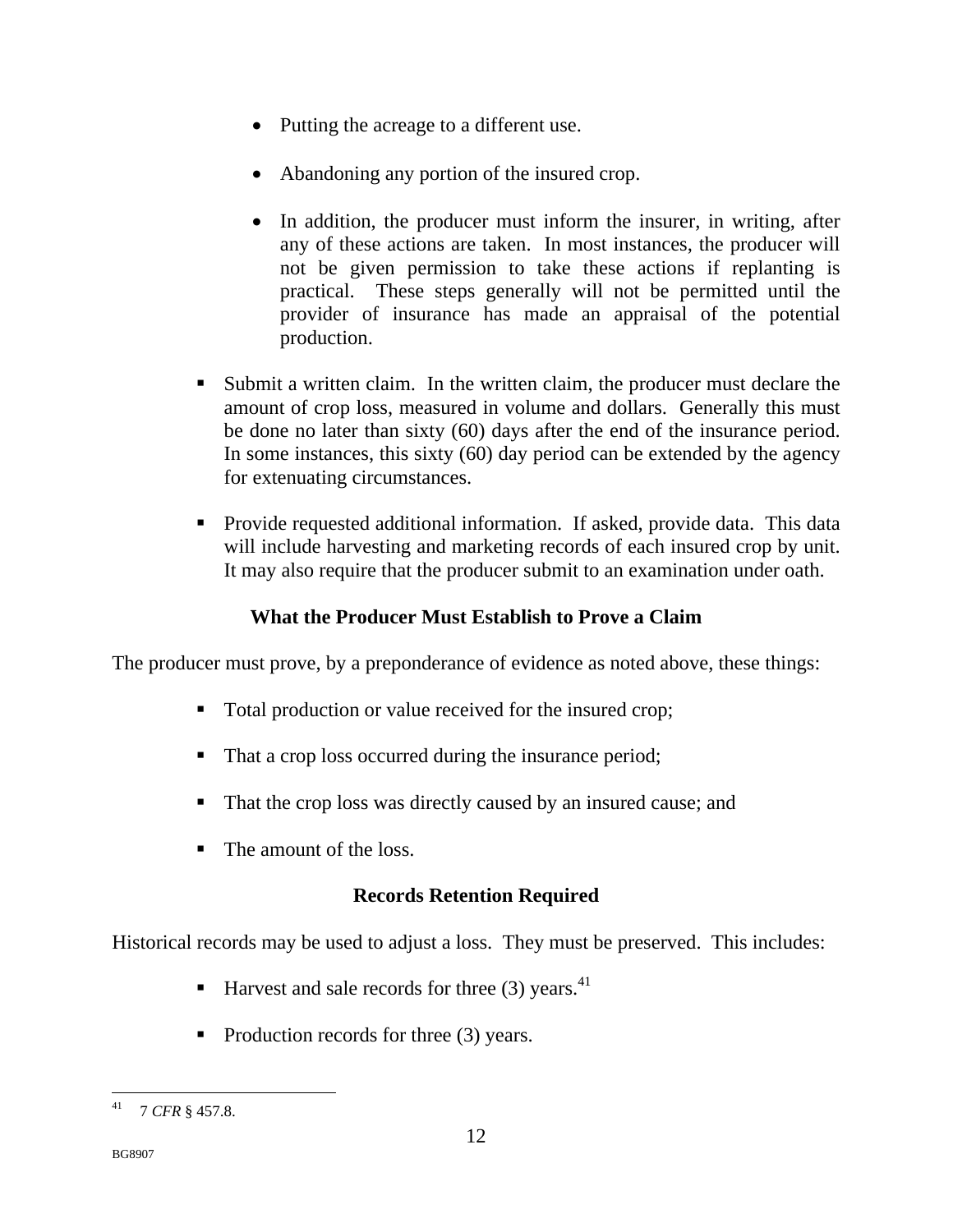- Putting the acreage to a different use.
- Abandoning any portion of the insured crop.
- In addition, the producer must inform the insurer, in writing, after any of these actions are taken. In most instances, the producer will not be given permission to take these actions if replanting is practical. These steps generally will not be permitted until the provider of insurance has made an appraisal of the potential production.
- Submit a written claim. In the written claim, the producer must declare the amount of crop loss, measured in volume and dollars. Generally this must be done no later than sixty (60) days after the end of the insurance period. In some instances, this sixty (60) day period can be extended by the agency for extenuating circumstances.
- Provide requested additional information. If asked, provide data. This data will include harvesting and marketing records of each insured crop by unit. It may also require that the producer submit to an examination under oath.

## **What the Producer Must Establish to Prove a Claim**

The producer must prove, by a preponderance of evidence as noted above, these things:

- Total production or value received for the insured crop;
- That a crop loss occurred during the insurance period;
- That the crop loss was directly caused by an insured cause; and
- The amount of the loss.

## **Records Retention Required**

Historical records may be used to adjust a loss. They must be preserved. This includes:

- Harvest and sale records for three  $(3)$  years.<sup>41</sup>
- Production records for three  $(3)$  years.

 41 7 *CFR* § 457.8.